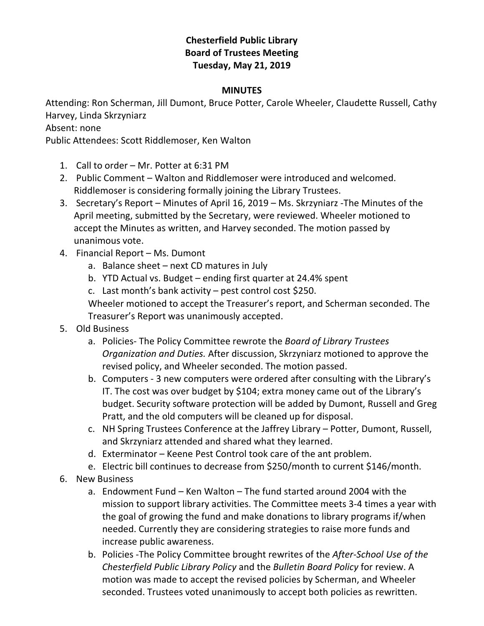## **Chesterfield Public Library Board of Trustees Meeting Tuesday, May 21, 2019**

## **MINUTES**

Attending: Ron Scherman, Jill Dumont, Bruce Potter, Carole Wheeler, Claudette Russell, Cathy Harvey, Linda Skrzyniarz

Absent: none

Public Attendees: Scott Riddlemoser, Ken Walton

- 1. Call to order Mr. Potter at 6:31 PM
- 2. Public Comment Walton and Riddlemoser were introduced and welcomed. Riddlemoser is considering formally joining the Library Trustees.
- 3. Secretary's Report Minutes of April 16, 2019 Ms. Skrzyniarz -The Minutes of the April meeting, submitted by the Secretary, were reviewed. Wheeler motioned to accept the Minutes as written, and Harvey seconded. The motion passed by unanimous vote.
- 4. Financial Report Ms. Dumont
	- a. Balance sheet next CD matures in July
	- b. YTD Actual vs. Budget ending first quarter at 24.4% spent
	- c. Last month's bank activity pest control cost \$250.

Wheeler motioned to accept the Treasurer's report, and Scherman seconded. The Treasurer's Report was unanimously accepted.

- 5. Old Business
	- a. Policies- The Policy Committee rewrote the *Board of Library Trustees Organization and Duties.* After discussion, Skrzyniarz motioned to approve the revised policy, and Wheeler seconded. The motion passed.
	- b. Computers 3 new computers were ordered after consulting with the Library's IT. The cost was over budget by \$104; extra money came out of the Library's budget. Security software protection will be added by Dumont, Russell and Greg Pratt, and the old computers will be cleaned up for disposal.
	- c. NH Spring Trustees Conference at the Jaffrey Library Potter, Dumont, Russell, and Skrzyniarz attended and shared what they learned.
	- d. Exterminator Keene Pest Control took care of the ant problem.
	- e. Electric bill continues to decrease from \$250/month to current \$146/month.
- 6. New Business
	- a. Endowment Fund Ken Walton The fund started around 2004 with the mission to support library activities. The Committee meets 3-4 times a year with the goal of growing the fund and make donations to library programs if/when needed. Currently they are considering strategies to raise more funds and increase public awareness.
	- b. Policies -The Policy Committee brought rewrites of the *After-School Use of the Chesterfield Public Library Policy* and the *Bulletin Board Policy* for review. A motion was made to accept the revised policies by Scherman, and Wheeler seconded. Trustees voted unanimously to accept both policies as rewritten.